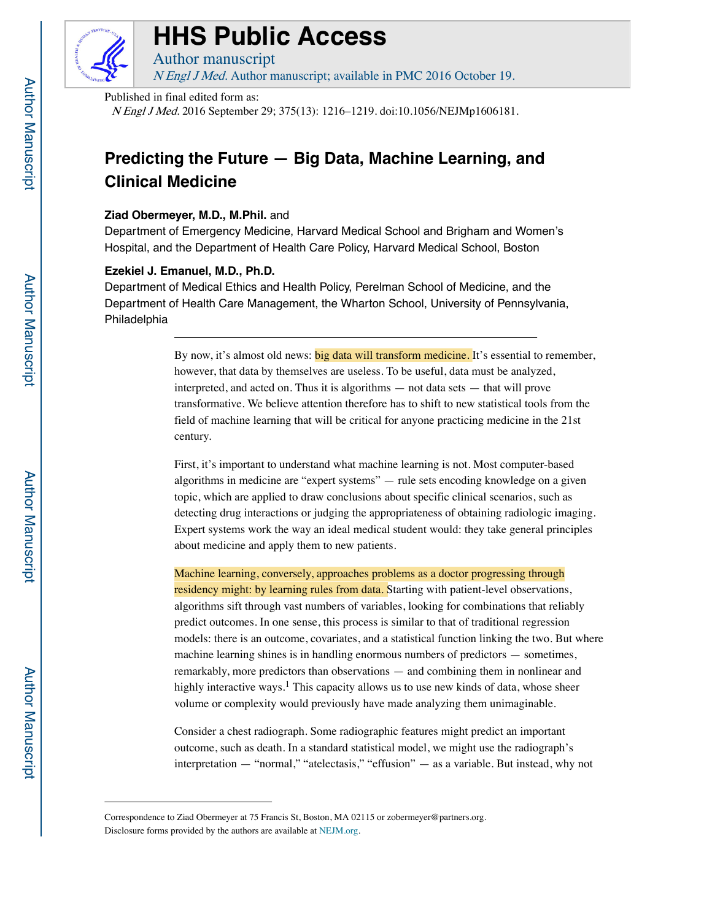

# **HHS Public Access**

Author manuscript N Engl J Med. Author manuscript; available in PMC 2016 October 19.

Published in final edited form as:

N Engl J Med. 2016 September 29; 375(13): 1216–1219. doi:10.1056/NEJMp1606181.

## **Predicting the Future — Big Data, Machine Learning, and Clinical Medicine**

#### **Ziad Obermeyer, M.D., M.Phil.** and

Department of Emergency Medicine, Harvard Medical School and Brigham and Women's Hospital, and the Department of Health Care Policy, Harvard Medical School, Boston

#### **Ezekiel J. Emanuel, M.D., Ph.D.**

Department of Medical Ethics and Health Policy, Perelman School of Medicine, and the Department of Health Care Management, the Wharton School, University of Pennsylvania, Philadelphia

> By now, it's almost old news: big data will transform medicine. It's essential to remember, however, that data by themselves are useless. To be useful, data must be analyzed, interpreted, and acted on. Thus it is algorithms — not data sets — that will prove transformative. We believe attention therefore has to shift to new statistical tools from the field of machine learning that will be critical for anyone practicing medicine in the 21st century.

> First, it's important to understand what machine learning is not. Most computer-based algorithms in medicine are "expert systems" — rule sets encoding knowledge on a given topic, which are applied to draw conclusions about specific clinical scenarios, such as detecting drug interactions or judging the appropriateness of obtaining radiologic imaging. Expert systems work the way an ideal medical student would: they take general principles about medicine and apply them to new patients.

Machine learning, conversely, approaches problems as a doctor progressing through residency might: by learning rules from data. Starting with patient-level observations, algorithms sift through vast numbers of variables, looking for combinations that reliably predict outcomes. In one sense, this process is similar to that of traditional regression models: there is an outcome, covariates, and a statistical function linking the two. But where machine learning shines is in handling enormous numbers of predictors — sometimes, remarkably, more predictors than observations — and combining them in nonlinear and highly interactive ways.<sup>1</sup> This capacity allows us to use new kinds of data, whose sheer volume or complexity would previously have made analyzing them unimaginable.

Consider a chest radiograph. Some radiographic features might predict an important outcome, such as death. In a standard statistical model, we might use the radiograph's interpretation — "normal," "atelectasis," "effusion" — as a variable. But instead, why not

Correspondence to Ziad Obermeyer at 75 Francis St, Boston, MA 02115 or zobermeyer@partners.org. Disclosure forms provided by the authors are available at [NEJM.org.](http://NEJM.org)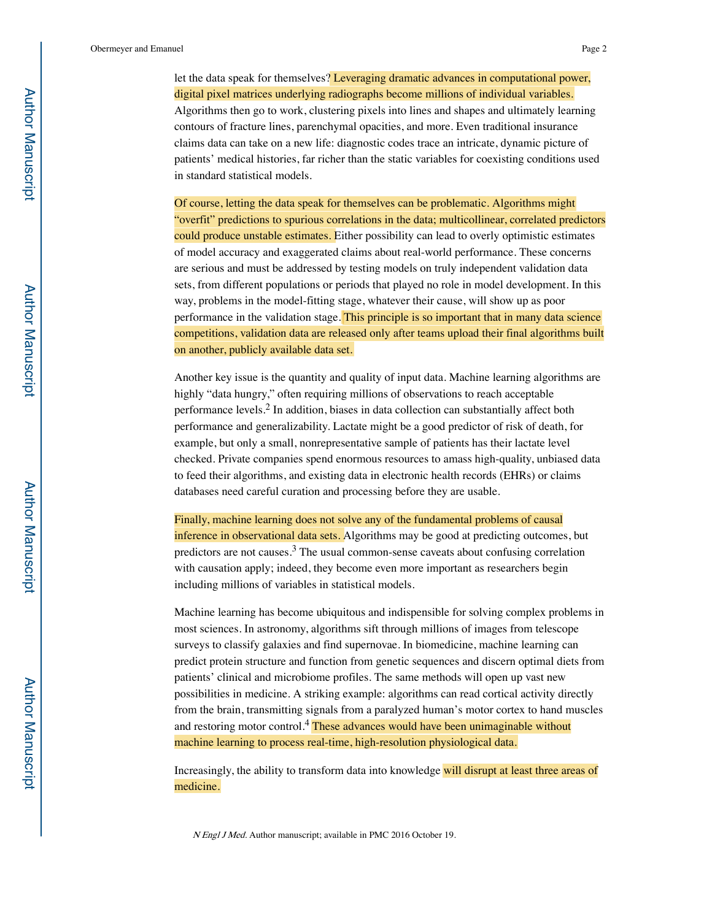Obermeyer and Emanuel Page 2

let the data speak for themselves? Leveraging dramatic advances in computational power, digital pixel matrices underlying radiographs become millions of individual variables. Algorithms then go to work, clustering pixels into lines and shapes and ultimately learning contours of fracture lines, parenchymal opacities, and more. Even traditional insurance claims data can take on a new life: diagnostic codes trace an intricate, dynamic picture of patients' medical histories, far richer than the static variables for coexisting conditions used in standard statistical models.

Of course, letting the data speak for themselves can be problematic. Algorithms might "overfit" predictions to spurious correlations in the data; multicollinear, correlated predictors could produce unstable estimates. Either possibility can lead to overly optimistic estimates of model accuracy and exaggerated claims about real-world performance. These concerns are serious and must be addressed by testing models on truly independent validation data sets, from different populations or periods that played no role in model development. In this way, problems in the model-fitting stage, whatever their cause, will show up as poor performance in the validation stage. This principle is so important that in many data science competitions, validation data are released only after teams upload their final algorithms built on another, publicly available data set.

Another key issue is the quantity and quality of input data. Machine learning algorithms are highly "data hungry," often requiring millions of observations to reach acceptable performance levels.2 In addition, biases in data collection can substantially affect both performance and generalizability. Lactate might be a good predictor of risk of death, for example, but only a small, nonrepresentative sample of patients has their lactate level checked. Private companies spend enormous resources to amass high-quality, unbiased data to feed their algorithms, and existing data in electronic health records (EHRs) or claims databases need careful curation and processing before they are usable.

Finally, machine learning does not solve any of the fundamental problems of causal inference in observational data sets. Algorithms may be good at predicting outcomes, but predictors are not causes. $3$  The usual common-sense caveats about confusing correlation with causation apply; indeed, they become even more important as researchers begin including millions of variables in statistical models.

Machine learning has become ubiquitous and indispensible for solving complex problems in most sciences. In astronomy, algorithms sift through millions of images from telescope surveys to classify galaxies and find supernovae. In biomedicine, machine learning can predict protein structure and function from genetic sequences and discern optimal diets from patients' clinical and microbiome profiles. The same methods will open up vast new possibilities in medicine. A striking example: algorithms can read cortical activity directly from the brain, transmitting signals from a paralyzed human's motor cortex to hand muscles and restoring motor control.<sup>4</sup> These advances would have been unimaginable without machine learning to process real-time, high-resolution physiological data.

Increasingly, the ability to transform data into knowledge will disrupt at least three areas of medicine.

N Engl J Med. Author manuscript; available in PMC 2016 October 19.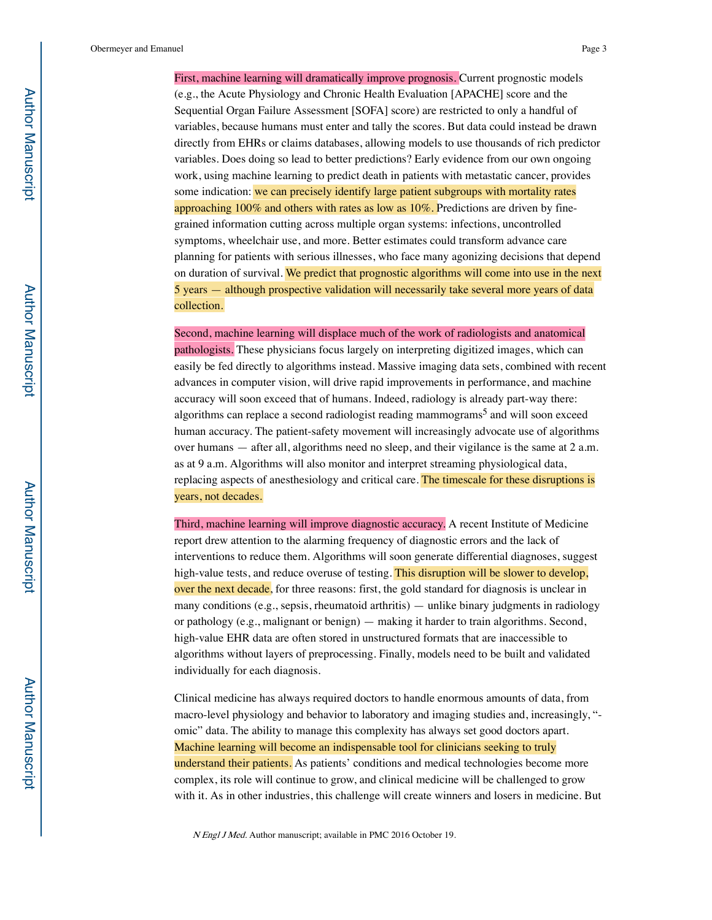Obermeyer and Emanuel Page 3

First, machine learning will dramatically improve prognosis. Current prognostic models (e.g., the Acute Physiology and Chronic Health Evaluation [APACHE] score and the Sequential Organ Failure Assessment [SOFA] score) are restricted to only a handful of variables, because humans must enter and tally the scores. But data could instead be drawn directly from EHRs or claims databases, allowing models to use thousands of rich predictor variables. Does doing so lead to better predictions? Early evidence from our own ongoing work, using machine learning to predict death in patients with metastatic cancer, provides some indication: we can precisely identify large patient subgroups with mortality rates approaching  $100\%$  and others with rates as low as  $10\%$ . Predictions are driven by finegrained information cutting across multiple organ systems: infections, uncontrolled symptoms, wheelchair use, and more. Better estimates could transform advance care planning for patients with serious illnesses, who face many agonizing decisions that depend on duration of survival. We predict that prognostic algorithms will come into use in the next 5 years — although prospective validation will necessarily take several more years of data collection.

Second, machine learning will displace much of the work of radiologists and anatomical pathologists. These physicians focus largely on interpreting digitized images, which can easily be fed directly to algorithms instead. Massive imaging data sets, combined with recent advances in computer vision, will drive rapid improvements in performance, and machine accuracy will soon exceed that of humans. Indeed, radiology is already part-way there: algorithms can replace a second radiologist reading mammograms<sup>5</sup> and will soon exceed human accuracy. The patient-safety movement will increasingly advocate use of algorithms over humans — after all, algorithms need no sleep, and their vigilance is the same at 2 a.m. as at 9 a.m. Algorithms will also monitor and interpret streaming physiological data, replacing aspects of anesthesiology and critical care. The timescale for these disruptions is years, not decades.

Third, machine learning will improve diagnostic accuracy. A recent Institute of Medicine report drew attention to the alarming frequency of diagnostic errors and the lack of interventions to reduce them. Algorithms will soon generate differential diagnoses, suggest high-value tests, and reduce overuse of testing. This disruption will be slower to develop, over the next decade, for three reasons: first, the gold standard for diagnosis is unclear in many conditions (e.g., sepsis, rheumatoid arthritis) — unlike binary judgments in radiology or pathology (e.g., malignant or benign) — making it harder to train algorithms. Second, high-value EHR data are often stored in unstructured formats that are inaccessible to algorithms without layers of preprocessing. Finally, models need to be built and validated individually for each diagnosis.

Clinical medicine has always required doctors to handle enormous amounts of data, from macro-level physiology and behavior to laboratory and imaging studies and, increasingly, " omic" data. The ability to manage this complexity has always set good doctors apart. Machine learning will become an indispensable tool for clinicians seeking to truly understand their patients. As patients' conditions and medical technologies become more complex, its role will continue to grow, and clinical medicine will be challenged to grow with it. As in other industries, this challenge will create winners and losers in medicine. But

N Engl J Med. Author manuscript; available in PMC 2016 October 19.